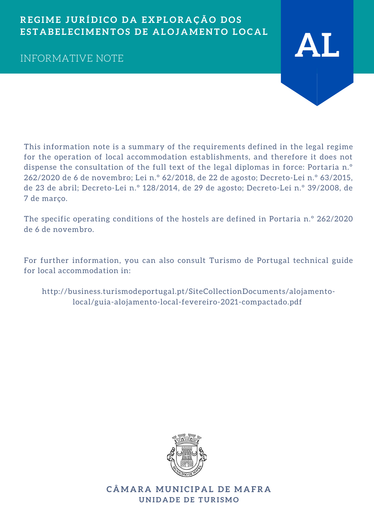## **REGIME J U RÍ D I C O D A E X P L O R A Ç Ã O D O S** ESTABELECIMENTOS DE ALOJAMENTO LOCAL



This information note is a summary of the requirements defined in the legal regime for the operation of local accommodation establishments, and therefore it does not dispense the consultation of the full text of the legal diplomas in force: Portaria n.º 262/2020 de 6 de novembro; Lei n.º 62/2018, de 22 de agosto; Decreto-Lei n.º 63/2015, de 23 de abril; Decreto-Lei n.º 128/2014, de 29 de agosto; Decreto-Lei n.º 39/2008, de 7 de março.

The specific operating conditions of the hostels are defined in Portaria n.º 262/2020 de 6 de novembro.

For further information, you can also consult Turismo de Portugal technical guide for local accommodation in:

[http://business.turismodeportugal.pt/SiteCollectionDocuments/alojamento](http://business.turismodeportugal.pt/SiteCollectionDocuments/alojamento-local/guia-alojamento-local-fevereiro-2021-compactado.pdf%20)local/guia-alojamento-local-fevereiro-2021-compactado.pdf



**C ÂMA R A MU N I C I P A L D E MA FR A U N I D A D E D E T U RI SMO**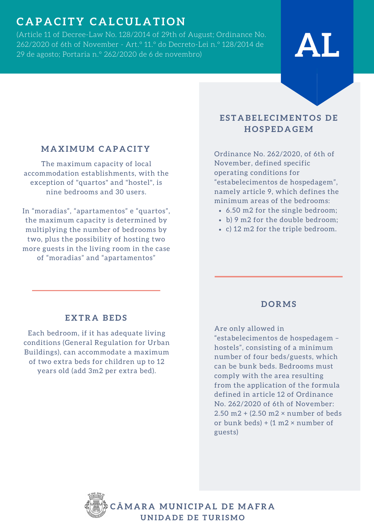# **C A P A C I T Y C A L C U L A T I O N**

(Article 11 of Decree-Law No. 128/2014 of 29th of August; Ordinance No. 262/2020 of 6th of November - Art.º 11.º do Decreto-Lei n.º 128/2014 de (Article 11 of Decree-Law No. 128/2014 of 29th of August; Ordinance No.<br>262/2020 of 6th of November - Art.° 11.° do Decreto-Lei n.° 128/2014 de<br>29 de agosto; Portaria n.° 262/2020 de 6 de novembro)

# **ESTABELECIMENTOS DE**

#### **MA X IMUM C A P A C I T Y**

The maximum capacity of local accommodation establishments, with the exception of "quartos" and "hostel", is nine bedrooms and 30 users.

In "moradias", "apartamentos" e "quartos", the maximum capacity is determined by multiplying the number of bedrooms by two, plus the possibility of hosting two more guests in the living room in the case of "moradias" and "apartamentos"

# **H O S P E D A GEM**

Ordinance No. 262/2020, of 6th of November, defined specific operating conditions for "estabelecimentos de hospedagem", namely article 9, which defines the minimum areas of the bedrooms:

- 6.50 m2 for the single bedroom;
- b) 9 m2 for the double bedroom;
- c) 12 m2 for the triple bedroom.

#### **E X TR A BE D S**

Each bedroom, if it has adequate living conditions (General Regulation for Urban Buildings), can accommodate a maximum of two extra beds for children up to 12 years old (add 3m2 per extra bed).

#### **D O RMS**

Are only allowed in

"estabelecimentos de hospedagem – hostels", consisting of a minimum number of four beds/guests, which can be bunk beds. Bedrooms must comply with the area resulting from the application of the formula defined in article 12 of Ordinance No. 262/2020 of 6th of November: 2.50 m2 + (2.50 m2 × number of beds or bunk beds) +  $(1 \text{ m2} \times \text{number of})$ guests)

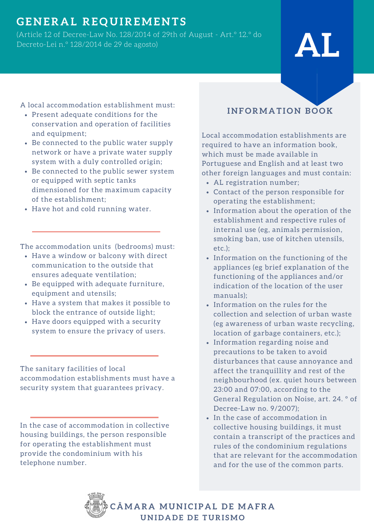# **GE N ER A L RE Q U IREME N T S**

(Article 12 of Decree-Law No. 128/2014 of 29th of August - Art.º 12.º do Decreto-Lei n.º 128/2014 de <sup>29</sup> de agosto) **AL**

A local accommodation establishment must:

- Present adequate conditions for the conservation and operation of facilities and equipment;
- Be connected to the public water supply network or have a private water supply system with a duly controlled origin;
- Be connected to the public sewer system or equipped with septic tanks dimensioned for the maximum capacity of the establishment;
- Have hot and cold running water.

The accommodation units (bedrooms) must:

- Have a window or balcony with direct communication to the outside that ensures adequate ventilation;
- Be equipped with adequate furniture, equipment and utensils;
- Have a system that makes it possible to block the entrance of outside light;
- Have doors equipped with a security system to ensure the privacy of users.

The sanitary facilities of local accommodation establishments must have a security system that guarantees privacy.

In the case of accommodation in collective housing buildings, the person responsible for operating the establishment must provide the condominium with his telephone number.

### **I N F O RMA T I O N B O O K**

Local accommodation establishments are required to have an information book, which must be made available in Portuguese and English and at least two other foreign languages and must contain:

- AL registration number;
- Contact of the person responsible for operating the establishment;
- Information about the operation of the establishment and respective rules of internal use (eg, animals permission, smoking ban, use of kitchen utensils, etc.);
- Information on the functioning of the appliances (eg brief explanation of the functioning of the appliances and/or indication of the location of the user manuals);
- Information on the rules for the collection and selection of urban waste (eg awareness of urban waste recycling, location of garbage containers, etc.);
- Information regarding noise and precautions to be taken to avoid disturbances that cause annoyance and affect the tranquillity and rest of the neighbourhood (ex. quiet hours between 23:00 and 07:00, according to the General Regulation on Noise, art. 24. º of Decree-Law no. 9/2007);
- In the case of accommodation in collective housing buildings, it must contain a transcript of the practices and rules of the condominium regulations that are relevant for the accommodation and for the use of the common parts.

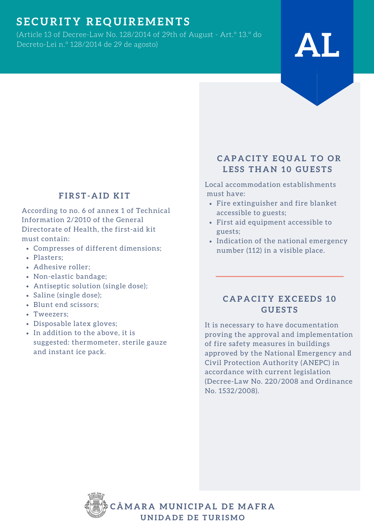# **S E C U RI T Y RE Q U IREME N T S**

(Article 13 of Decree-Law No. 128/2014 of 29th of August - Art.º 13.º do Decreto-Lei n.º 128/2014 de <sup>29</sup> de agosto) **AL**

# **LESS THAN 10 GUESTS**

**C A P A C I T Y E Q U A L T O O R**

Local accommodation establishments must have:

- Fire extinguisher and fire blanket accessible to guests;
- First aid equipment accessible to guests;
- Indication of the national emergency number (112) in a visible place.

#### **C A P A C I T Y E X C E E D S 1 0 G U E S T S**

It is necessary to have documentation proving the approval and implementation of fire safety measures in buildings approved by the National Emergency and Civil Protection Authority (ANEPC) in accordance with current legislation (Decree-Law No. 220/2008 and Ordinance No. 1532/2008).



### **F IRS T - A I D K I T**

According to no. 6 of annex 1 of Technical Information 2/2010 of the General Directorate of Health, the first-aid kit must contain:

- Compresses of different dimensions;
- Plasters;
- Adhesive roller;
- Non-elastic bandage;
- Antiseptic solution (single dose);
- Saline (single dose);
- Blunt end scissors;
- Tweezers;
- Disposable latex gloves;
- In addition to the above, it is suggested: thermometer, sterile gauze and instant ice pack.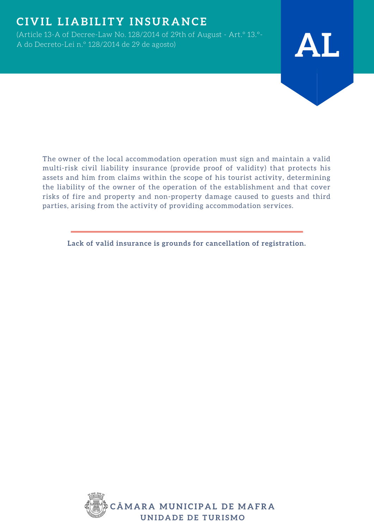# $C$  **IVIL LIABILITY INSURANCE**

(Article 13-A of Decree-Law No. 128/2014 of 29th of August - Art.º 13.º-<sup>A</sup> do Decreto-Lei n.º 128/2014 de <sup>29</sup> de agosto) **AL**



The owner of the local accommodation operation must sign and maintain a valid multi-risk civil liability insurance (provide proof of validity) that protects his assets and him from claims within the scope of his tourist activity, determining the liability of the owner of the operation of the establishment and that cover risks of fire and property and non-property damage caused to guests and third parties, arising from the activity of providing accommodation services.

**Lack of valid insurance is grounds for cancellation of registration.**

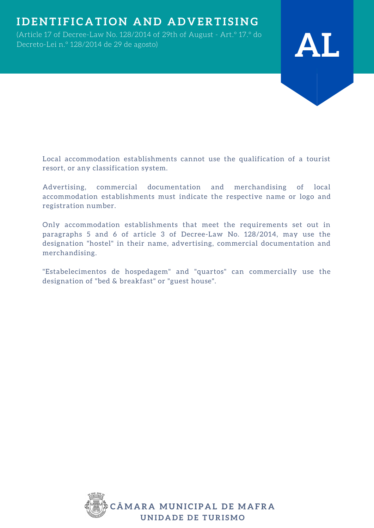## **IDENTIFICATION AND ADVERTISING**

(Article 17 of Decree-Law No. 128/2014 of 29th of August - Art.º 17.º do Decreto-Lei n.º 128/2014 de <sup>29</sup> de agosto) **AL**



Local accommodation establishments cannot use the qualification of a tourist resort, or any classification system.

Advertising, commercial documentation and merchandising of local accommodation establishments must indicate the respective name or logo and registration number.

Only accommodation establishments that meet the requirements set out in paragraphs 5 and 6 of article 3 of Decree-Law No. 128/2014, may use the designation "hostel" in their name, advertising, commercial documentation and merchandising.

"Estabelecimentos de hospedagem" and "quartos" can commercially use the designation of "bed & breakfast" or "guest house".

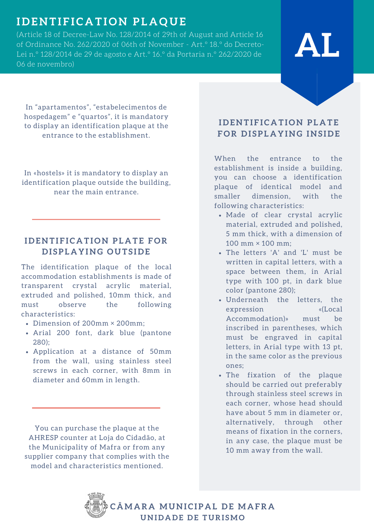# **I D E N T I F I C A T I O N P L A Q U E**

(Article 18 of Decree-Law No. 128/2014 of 29th of August and Article 16 of Ordinance No. 262/2020 of 06th of November - Art.º 18.º do Decreto-Lei n.º 128/2014 de 29 de agosto e Art.º 16.º da Portaria n.º 262/2020 de 06 de novembro)

# **AL**

In "apartamentos", "estabelecimentos de hospedagem" e "quartos", it is mandatory to display an identification plaque at the entrance to the establishment.

In «hostels» it is mandatory to display an identification plaque outside the building, near the main entrance.

#### **IDENTIFICATION PLATE FOR**  $P$  **DISPLAYING OUTSIDE**

The identification plaque of the local accommodation establishments is made of transparent crystal acrylic material, extruded and polished, 10mm thick, and must observe the following characteristics:

- Dimension of 200mm × 200mm;
- Arial 200 font, dark blue (pantone 280);
- Application at a distance of 50mm from the wall, using stainless steel screws in each corner, with 8mm in diameter and 60mm in length.

You can purchase the plaque at the AHRESP counter at Loja do Cidadão, at the Municipality of Mafra or from any supplier company that complies with the model and characteristics mentioned.

#### **IDENTIFICATION PLATE**  $FOR$  DISPLAYING INSIDE

When the entrance to the establishment is inside a building, you can choose a identification plaque of identical model and smaller dimension, with the following characteristics:

- Made of clear crystal acrylic material, extruded and polished, 5 mm thick, with a dimension of 100 mm × 100 mm;
- The letters 'A' and 'L' must be written in capital letters, with a space between them, in Arial type with 100 pt, in dark blue color (pantone 280);
- Underneath the letters, the expression «(Local Accommodation)» must be inscribed in parentheses, which must be engraved in capital letters, in Arial type with 13 pt, in the same color as the previous ones;
- The fixation of the plaque should be carried out preferably through stainless steel screws in each corner, whose head should have about 5 mm in diameter or, alternatively, through other means of fixation in the corners, in any case, the plaque must be 10 mm away from the wall.

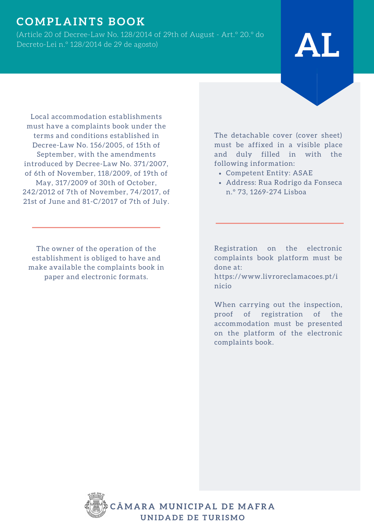## $\underline{\textbf{COMPL} \textbf{ALANTS BOOK}}$

(Article 20 of Decree-Law No. 128/2014 of 29th of August - Art.º 20.º do Decreto-Lei n.º 128/2014 de <sup>29</sup> de agosto) **AL**

Local accommodation establishments must have a complaints book under the terms and conditions established in Decree-Law No. 156/2005, of 15th of September, with the amendments introduced by Decree-Law No. 371/2007, of 6th of November, 118/2009, of 19th of May, 317/2009 of 30th of October, 242/2012 of 7th of November, 74/2017, of 21st of June and 81-C/2017 of 7th of July.

The owner of the operation of the establishment is obliged to have and make available the complaints book in paper and electronic formats.

The detachable cover (cover sheet) must be affixed in a visible place and duly filled in with the following information:

- Competent Entity: ASAE
- Address: Rua Rodrigo da Fonseca n.º 73, 1269-274 Lisboa

Registration on the electronic complaints book platform must be done at:

https://www.livroreclamacoes.pt/i nicio

When carrying out the inspection, proof of registration of the accommodation must be presented on the platform of the electronic complaints book.

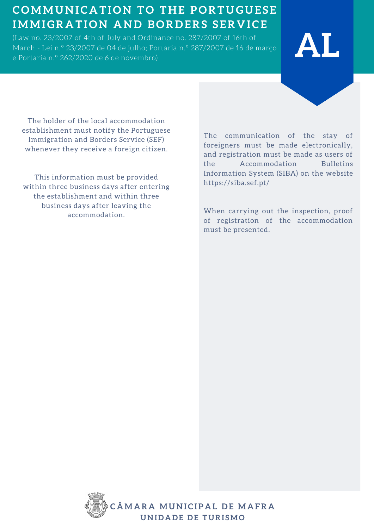# **C OMMU N I C A T I O N T O T H E P O RT U G U E S E IMMIGR A T I O N A N D B O R D ERS S ER V I C E**

(Law no. 23/2007 of 4th of July and Ordinance no. 287/2007 of 16th of March - Lei n.º 23/2007 de 04 de julho; Portaria n.º 287/2007 de 16 de março (Law no. 23/2007 of 4th of July and Ordinance no. 287/2007 of 16th of **ALL Products 1988**<br>March - Lei n.º 23/2007 de 04 de julho; Portaria n.º 287/2007 de 16 de março **ALL Products 1988 (Products 198** 

The holder of the local accommodation establishment must notify the Portuguese Immigration and Borders Service (SEF) whenever they receive a foreign citizen.

This information must be provided within three business days after entering the establishment and within three business days after leaving the accommodation.

The communication of the stay of foreigners must be made electronically, and registration must be made as users of the Accommodation Bulletins Information System (SIBA) on the website https://siba.sef.pt/

When carrying out the inspection, proof of registration of the accommodation must be presented.